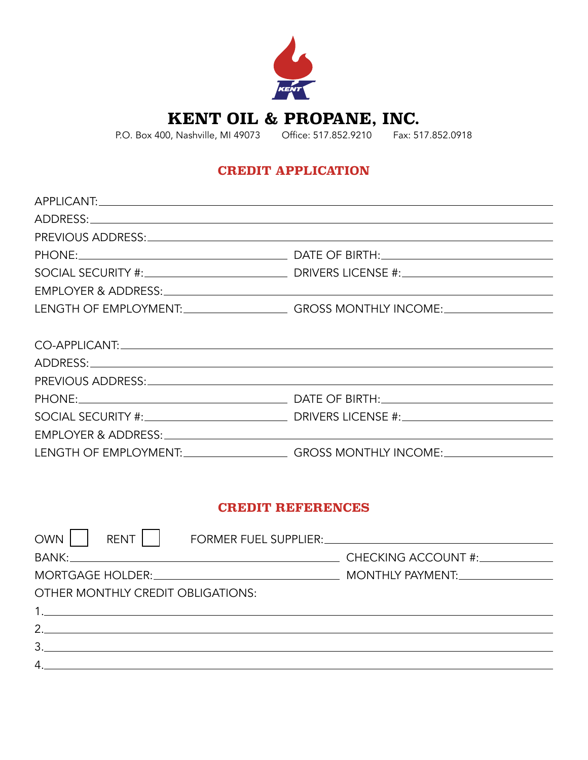

**KENT OIL & PROPANE, INC.**

P.O. Box 400, Nashville, MI 49073 Office: 517.852.9210 Fax: 517.852.0918

## **CREDIT APPLICATION**

| LENGTH OF EMPLOYMENT:_____________________GROSS MONTHLY INCOME:_________________                                                                                                                                               |
|--------------------------------------------------------------------------------------------------------------------------------------------------------------------------------------------------------------------------------|
|                                                                                                                                                                                                                                |
|                                                                                                                                                                                                                                |
|                                                                                                                                                                                                                                |
|                                                                                                                                                                                                                                |
|                                                                                                                                                                                                                                |
|                                                                                                                                                                                                                                |
| EMPLOYER & ADDRESS: University of the contract of the contract of the contract of the contract of the contract of the contract of the contract of the contract of the contract of the contract of the contract of the contract |
| LENGTH OF EMPLOYMENT:_____________________GROSS MONTHLY INCOME:_________________                                                                                                                                               |
|                                                                                                                                                                                                                                |

## **CREDIT REFERENCES**

| <b>OWN</b><br>RENT   .            | FORMER FUEL SUPPLIER: CONTRACT DESCRIPTION OF THE SUPPLIER: |
|-----------------------------------|-------------------------------------------------------------|
|                                   |                                                             |
|                                   |                                                             |
| OTHER MONTHLY CREDIT OBLIGATIONS: |                                                             |
|                                   |                                                             |
| 2.                                |                                                             |
| 3.                                |                                                             |
| 4.                                |                                                             |
|                                   |                                                             |